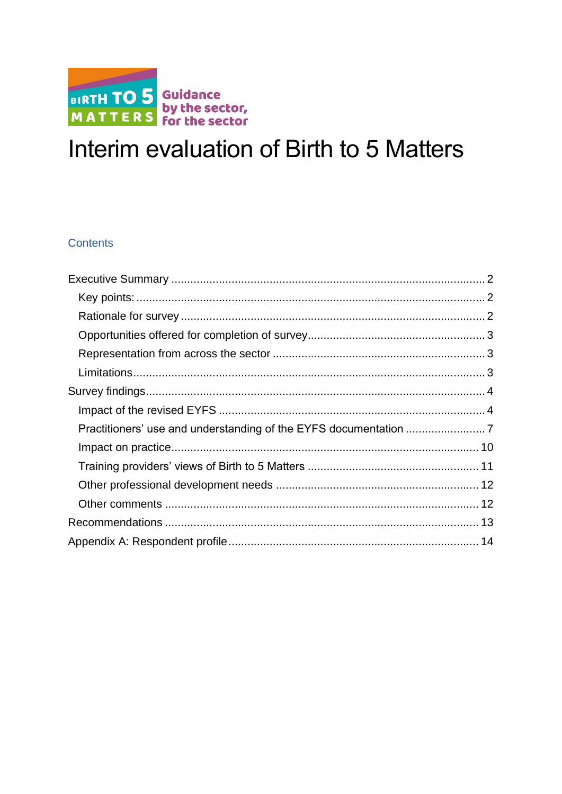

# Interim evaluation of Birth to 5 Matters

#### **Contents**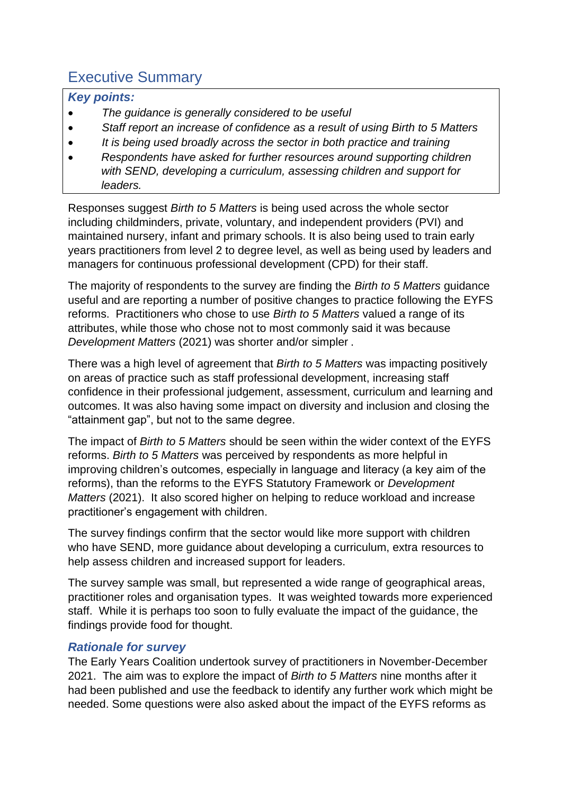## <span id="page-1-0"></span>Executive Summary

#### <span id="page-1-1"></span>*Key points:*

- *The guidance is generally considered to be useful*
- *Staff report an increase of confidence as a result of using Birth to 5 Matters*
- *It is being used broadly across the sector in both practice and training*
- *Respondents have asked for further resources around supporting children with SEND, developing a curriculum, assessing children and support for leaders.*

Responses suggest *Birth to 5 Matters* is being used across the whole sector including childminders, private, voluntary, and independent providers (PVI) and maintained nursery, infant and primary schools. It is also being used to train early years practitioners from level 2 to degree level, as well as being used by leaders and managers for continuous professional development (CPD) for their staff.

The majority of respondents to the survey are finding the *Birth to 5 Matters* guidance useful and are reporting a number of positive changes to practice following the EYFS reforms. Practitioners who chose to use *Birth to 5 Matters* valued a range of its attributes, while those who chose not to most commonly said it was because *Development Matters* (2021) was shorter and/or simpler .

There was a high level of agreement that *Birth to 5 Matters* was impacting positively on areas of practice such as staff professional development, increasing staff confidence in their professional judgement, assessment, curriculum and learning and outcomes. It was also having some impact on diversity and inclusion and closing the "attainment gap", but not to the same degree.

The impact of *Birth to 5 Matters* should be seen within the wider context of the EYFS reforms. *Birth to 5 Matters* was perceived by respondents as more helpful in improving children's outcomes, especially in language and literacy (a key aim of the reforms), than the reforms to the EYFS Statutory Framework or *Development Matters* (2021). It also scored higher on helping to reduce workload and increase practitioner's engagement with children.

The survey findings confirm that the sector would like more support with children who have SEND, more guidance about developing a curriculum, extra resources to help assess children and increased support for leaders.

The survey sample was small, but represented a wide range of geographical areas, practitioner roles and organisation types. It was weighted towards more experienced staff. While it is perhaps too soon to fully evaluate the impact of the guidance, the findings provide food for thought.

#### <span id="page-1-2"></span>*Rationale for survey*

The Early Years Coalition undertook survey of practitioners in November-December 2021. The aim was to explore the impact of *Birth to 5 Matters* nine months after it had been published and use the feedback to identify any further work which might be needed. Some questions were also asked about the impact of the EYFS reforms as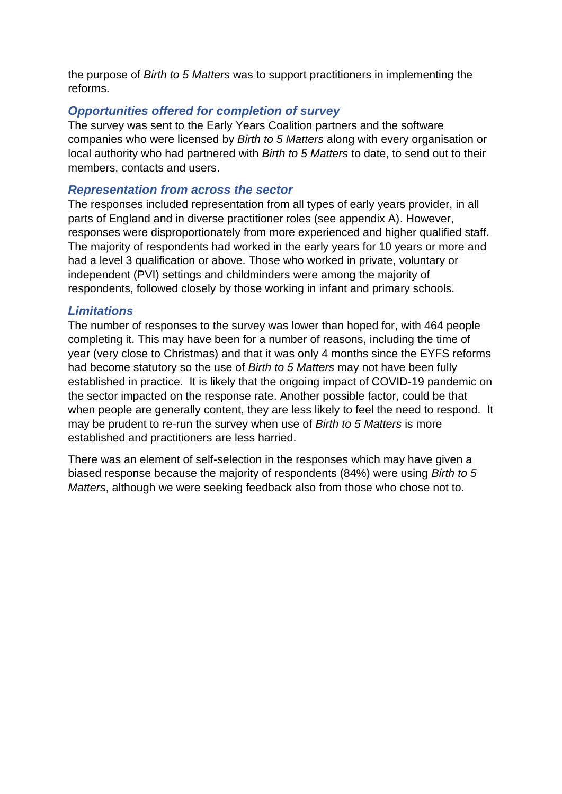the purpose of *Birth to 5 Matters* was to support practitioners in implementing the reforms.

#### <span id="page-2-0"></span>*Opportunities offered for completion of survey*

The survey was sent to the Early Years Coalition partners and the software companies who were licensed by *Birth to 5 Matters* along with every organisation or local authority who had partnered with *Birth to 5 Matters* to date, to send out to their members, contacts and users.

#### <span id="page-2-1"></span>*Representation from across the sector*

The responses included representation from all types of early years provider, in all parts of England and in diverse practitioner roles (see appendix A). However, responses were disproportionately from more experienced and higher qualified staff. The majority of respondents had worked in the early years for 10 years or more and had a level 3 qualification or above. Those who worked in private, voluntary or independent (PVI) settings and childminders were among the majority of respondents, followed closely by those working in infant and primary schools.

#### <span id="page-2-2"></span>*Limitations*

The number of responses to the survey was lower than hoped for, with 464 people completing it. This may have been for a number of reasons, including the time of year (very close to Christmas) and that it was only 4 months since the EYFS reforms had become statutory so the use of *Birth to 5 Matters* may not have been fully established in practice. It is likely that the ongoing impact of COVID-19 pandemic on the sector impacted on the response rate. Another possible factor, could be that when people are generally content, they are less likely to feel the need to respond. It may be prudent to re-run the survey when use of *Birth to 5 Matters* is more established and practitioners are less harried.

There was an element of self-selection in the responses which may have given a biased response because the majority of respondents (84%) were using *Birth to 5 Matters*, although we were seeking feedback also from those who chose not to.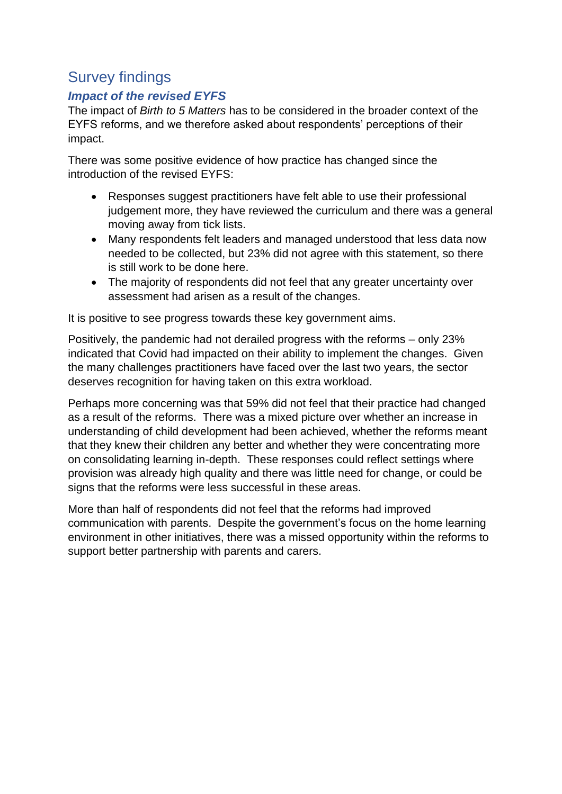# <span id="page-3-0"></span>Survey findings

### <span id="page-3-1"></span>*Impact of the revised EYFS*

The impact of *Birth to 5 Matters* has to be considered in the broader context of the EYFS reforms, and we therefore asked about respondents' perceptions of their impact.

There was some positive evidence of how practice has changed since the introduction of the revised EYFS:

- Responses suggest practitioners have felt able to use their professional judgement more, they have reviewed the curriculum and there was a general moving away from tick lists.
- Many respondents felt leaders and managed understood that less data now needed to be collected, but 23% did not agree with this statement, so there is still work to be done here.
- The majority of respondents did not feel that any greater uncertainty over assessment had arisen as a result of the changes.

It is positive to see progress towards these key government aims.

Positively, the pandemic had not derailed progress with the reforms – only 23% indicated that Covid had impacted on their ability to implement the changes. Given the many challenges practitioners have faced over the last two years, the sector deserves recognition for having taken on this extra workload.

Perhaps more concerning was that 59% did not feel that their practice had changed as a result of the reforms. There was a mixed picture over whether an increase in understanding of child development had been achieved, whether the reforms meant that they knew their children any better and whether they were concentrating more on consolidating learning in-depth. These responses could reflect settings where provision was already high quality and there was little need for change, or could be signs that the reforms were less successful in these areas.

More than half of respondents did not feel that the reforms had improved communication with parents. Despite the government's focus on the home learning environment in other initiatives, there was a missed opportunity within the reforms to support better partnership with parents and carers.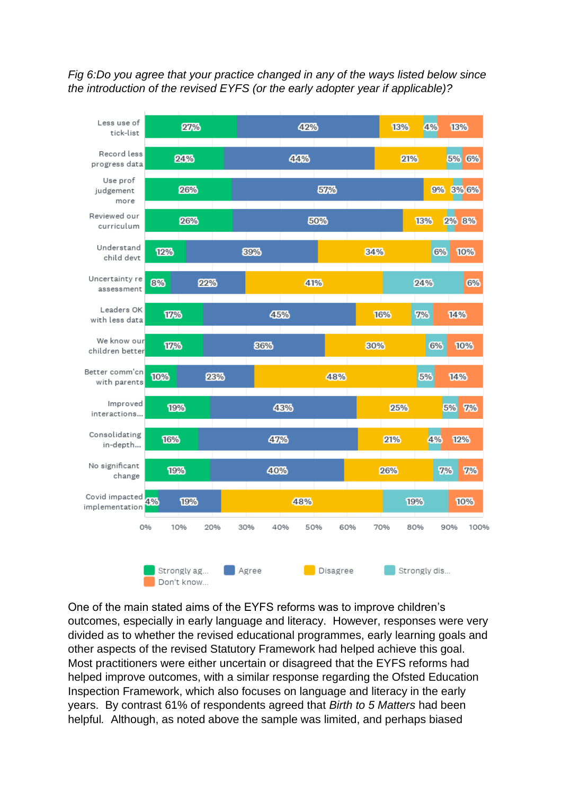*Fig 6:Do you agree that your practice changed in any of the ways listed below since the introduction of the revised EYFS (or the early adopter year if applicable)?*



One of the main stated aims of the EYFS reforms was to improve children's outcomes, especially in early language and literacy. However, responses were very divided as to whether the revised educational programmes, early learning goals and other aspects of the revised Statutory Framework had helped achieve this goal. Most practitioners were either uncertain or disagreed that the EYFS reforms had helped improve outcomes, with a similar response regarding the Ofsted Education Inspection Framework, which also focuses on language and literacy in the early years. By contrast 61% of respondents agreed that *Birth to 5 Matters* had been helpful*.* Although, as noted above the sample was limited, and perhaps biased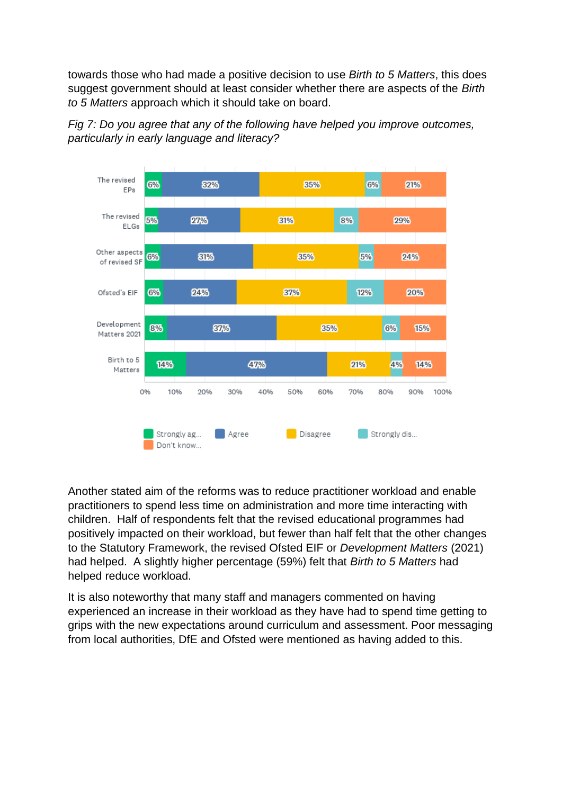towards those who had made a positive decision to use *Birth to 5 Matters*, this does suggest government should at least consider whether there are aspects of the *Birth to 5 Matters* approach which it should take on board.





Another stated aim of the reforms was to reduce practitioner workload and enable practitioners to spend less time on administration and more time interacting with children. Half of respondents felt that the revised educational programmes had positively impacted on their workload, but fewer than half felt that the other changes to the Statutory Framework, the revised Ofsted EIF or *Development Matters* (2021) had helped. A slightly higher percentage (59%) felt that *Birth to 5 Matters* had helped reduce workload.

It is also noteworthy that many staff and managers commented on having experienced an increase in their workload as they have had to spend time getting to grips with the new expectations around curriculum and assessment. Poor messaging from local authorities, DfE and Ofsted were mentioned as having added to this.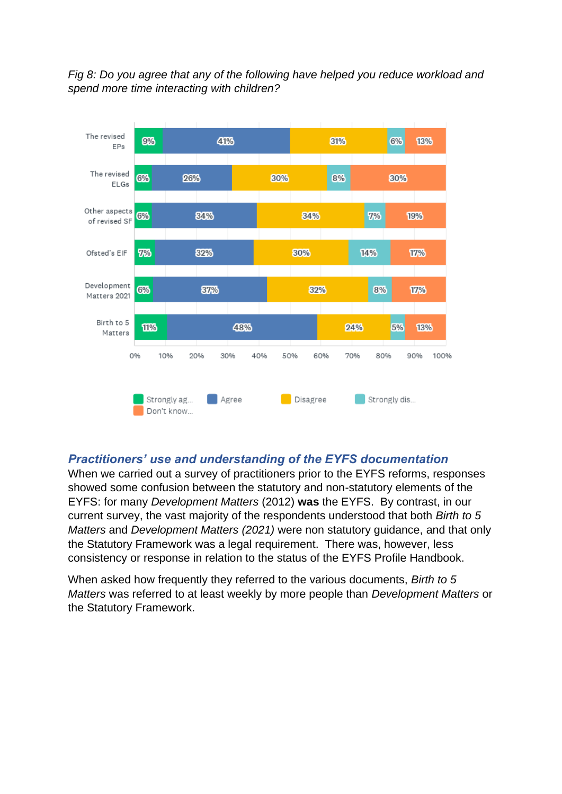*Fig 8: Do you agree that any of the following have helped you reduce workload and spend more time interacting with children?*



#### <span id="page-6-0"></span>*Practitioners' use and understanding of the EYFS documentation*

When we carried out a survey of practitioners prior to the EYFS reforms, responses showed some confusion between the statutory and non-statutory elements of the EYFS: for many *Development Matters* (2012) **was** the EYFS. By contrast, in our current survey, the vast majority of the respondents understood that both *Birth to 5 Matters* and *Development Matters (2021)* were non statutory guidance, and that only the Statutory Framework was a legal requirement. There was, however, less consistency or response in relation to the status of the EYFS Profile Handbook.

When asked how frequently they referred to the various documents, *Birth to 5 Matters* was referred to at least weekly by more people than *Development Matters* or the Statutory Framework.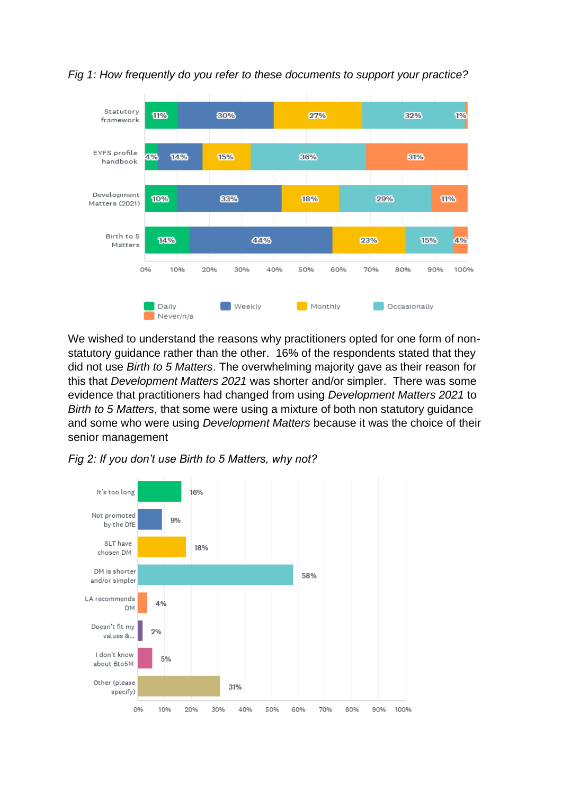

*Fig 1: How frequently do you refer to these documents to support your practice?*

We wished to understand the reasons why practitioners opted for one form of nonstatutory guidance rather than the other. 16% of the respondents stated that they did not use *Birth to 5 Matters*. The overwhelming majority gave as their reason for this that *Development Matters 2021* was shorter and/or simpler. There was some evidence that practitioners had changed from using *Development Matters 2021* to *Birth to 5 Matters*, that some were using a mixture of both non statutory guidance and some who were using *Development Matters* because it was the choice of their senior management



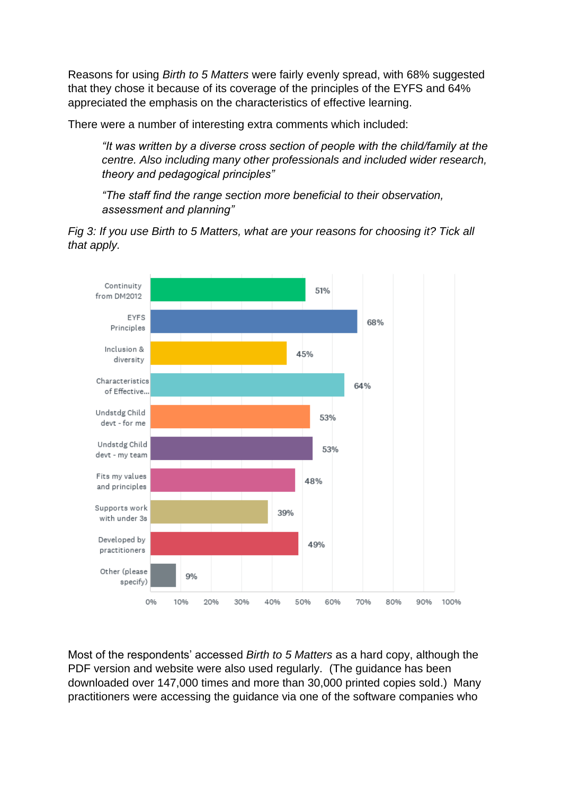Reasons for using *Birth to 5 Matters* were fairly evenly spread, with 68% suggested that they chose it because of its coverage of the principles of the EYFS and 64% appreciated the emphasis on the characteristics of effective learning.

There were a number of interesting extra comments which included:

*"It was written by a diverse cross section of people with the child/family at the centre. Also including many other professionals and included wider research, theory and pedagogical principles"*

*"The staff find the range section more beneficial to their observation, assessment and planning"*

*Fig 3: If you use Birth to 5 Matters, what are your reasons for choosing it? Tick all that apply.*



Most of the respondents' accessed *Birth to 5 Matters* as a hard copy, although the PDF version and website were also used regularly. (The guidance has been downloaded over 147,000 times and more than 30,000 printed copies sold.) Many practitioners were accessing the guidance via one of the software companies who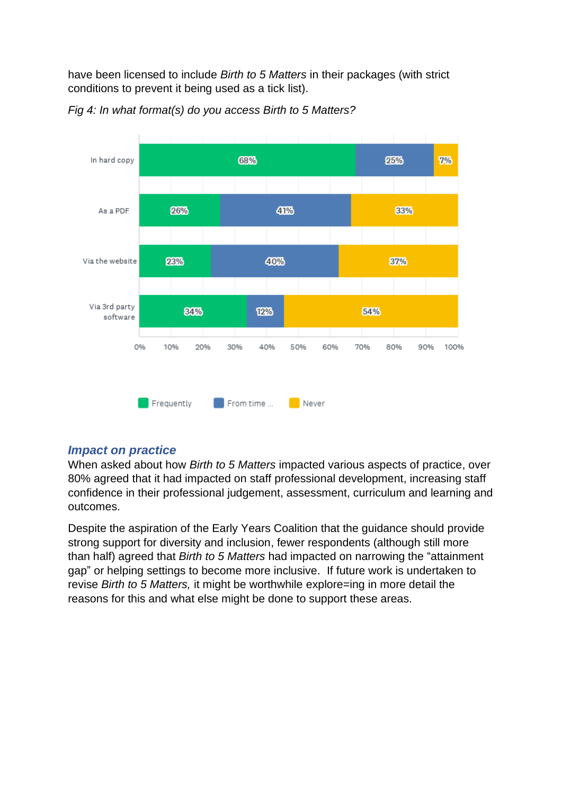have been licensed to include *Birth to 5 Matters* in their packages (with strict conditions to prevent it being used as a tick list).



*Fig 4: In what format(s) do you access Birth to 5 Matters?*

#### <span id="page-9-0"></span>*Impact on practice*

When asked about how *Birth to 5 Matters* impacted various aspects of practice, over 80% agreed that it had impacted on staff professional development, increasing staff confidence in their professional judgement, assessment, curriculum and learning and outcomes.

Despite the aspiration of the Early Years Coalition that the guidance should provide strong support for diversity and inclusion, fewer respondents (although still more than half) agreed that *Birth to 5 Matters* had impacted on narrowing the "attainment gap" or helping settings to become more inclusive. If future work is undertaken to revise *Birth to 5 Matters,* it might be worthwhile explore=ing in more detail the reasons for this and what else might be done to support these areas.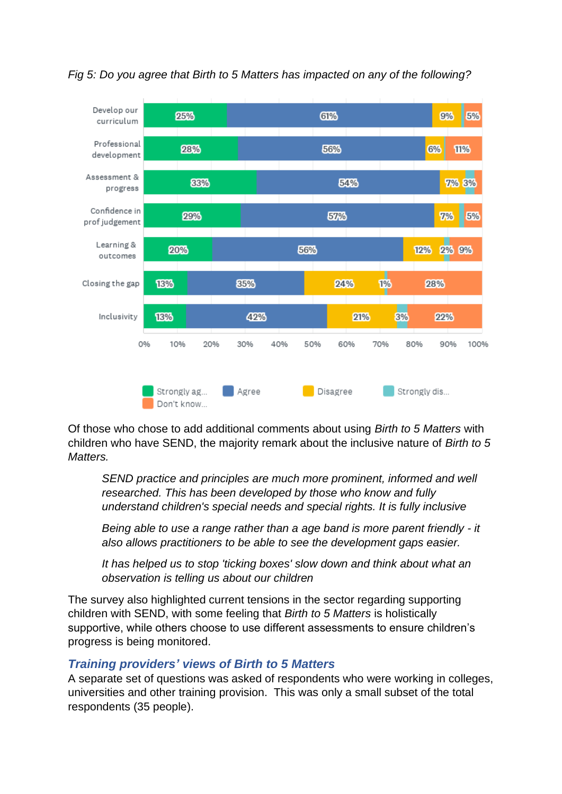

*Fig 5: Do you agree that Birth to 5 Matters has impacted on any of the following?*

Of those who chose to add additional comments about using *Birth to 5 Matters* with children who have SEND, the majority remark about the inclusive nature of *Birth to 5 Matters.* 

*SEND practice and principles are much more prominent, informed and well researched. This has been developed by those who know and fully understand children's special needs and special rights. It is fully inclusive* 

*Being able to use a range rather than a age band is more parent friendly - it also allows practitioners to be able to see the development gaps easier.*

*It has helped us to stop 'ticking boxes' slow down and think about what an observation is telling us about our children* 

The survey also highlighted current tensions in the sector regarding supporting children with SEND, with some feeling that *Birth to 5 Matters* is holistically supportive, while others choose to use different assessments to ensure children's progress is being monitored.

### <span id="page-10-0"></span>*Training providers' views of Birth to 5 Matters*

A separate set of questions was asked of respondents who were working in colleges, universities and other training provision. This was only a small subset of the total respondents (35 people).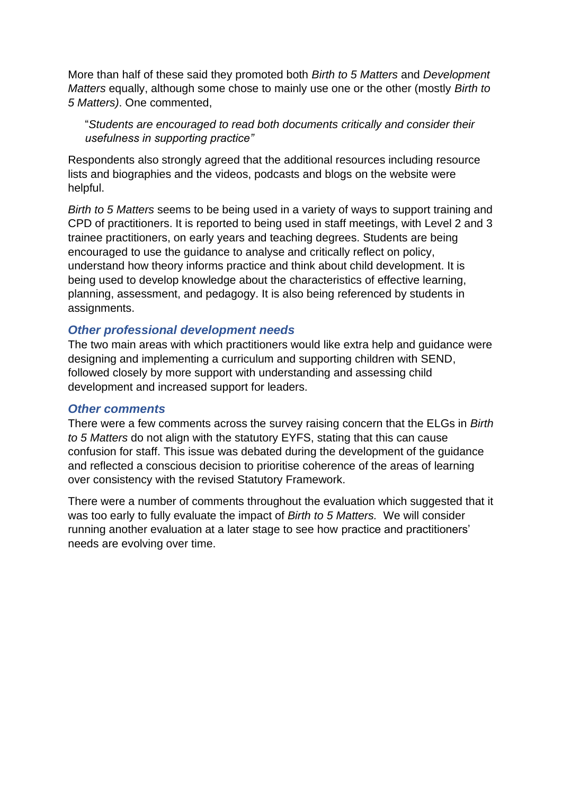More than half of these said they promoted both *Birth to 5 Matters* and *Development Matters* equally, although some chose to mainly use one or the other (mostly *Birth to 5 Matters)*. One commented,

"*Students are encouraged to read both documents critically and consider their usefulness in supporting practice"*

Respondents also strongly agreed that the additional resources including resource lists and biographies and the videos, podcasts and blogs on the website were helpful.

*Birth to 5 Matters* seems to be being used in a variety of ways to support training and CPD of practitioners. It is reported to being used in staff meetings, with Level 2 and 3 trainee practitioners, on early years and teaching degrees. Students are being encouraged to use the guidance to analyse and critically reflect on policy, understand how theory informs practice and think about child development. It is being used to develop knowledge about the characteristics of effective learning, planning, assessment, and pedagogy. It is also being referenced by students in assignments.

#### <span id="page-11-0"></span>*Other professional development needs*

The two main areas with which practitioners would like extra help and guidance were designing and implementing a curriculum and supporting children with SEND, followed closely by more support with understanding and assessing child development and increased support for leaders.

#### <span id="page-11-1"></span>*Other comments*

There were a few comments across the survey raising concern that the ELGs in *Birth to 5 Matters* do not align with the statutory EYFS, stating that this can cause confusion for staff. This issue was debated during the development of the guidance and reflected a conscious decision to prioritise coherence of the areas of learning over consistency with the revised Statutory Framework.

There were a number of comments throughout the evaluation which suggested that it was too early to fully evaluate the impact of *Birth to 5 Matters.* We will consider running another evaluation at a later stage to see how practice and practitioners' needs are evolving over time.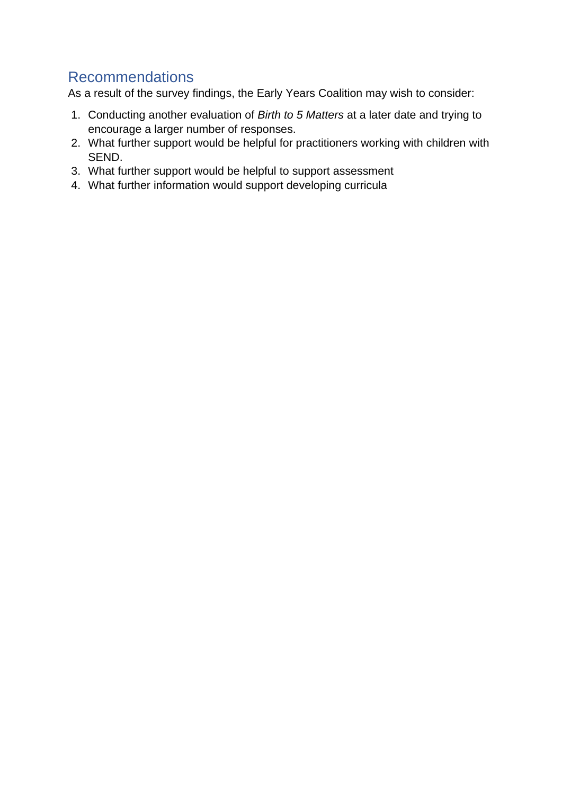### <span id="page-12-0"></span>Recommendations

As a result of the survey findings, the Early Years Coalition may wish to consider:

- 1. Conducting another evaluation of *Birth to 5 Matters* at a later date and trying to encourage a larger number of responses.
- 2. What further support would be helpful for practitioners working with children with SEND.
- 3. What further support would be helpful to support assessment
- 4. What further information would support developing curricula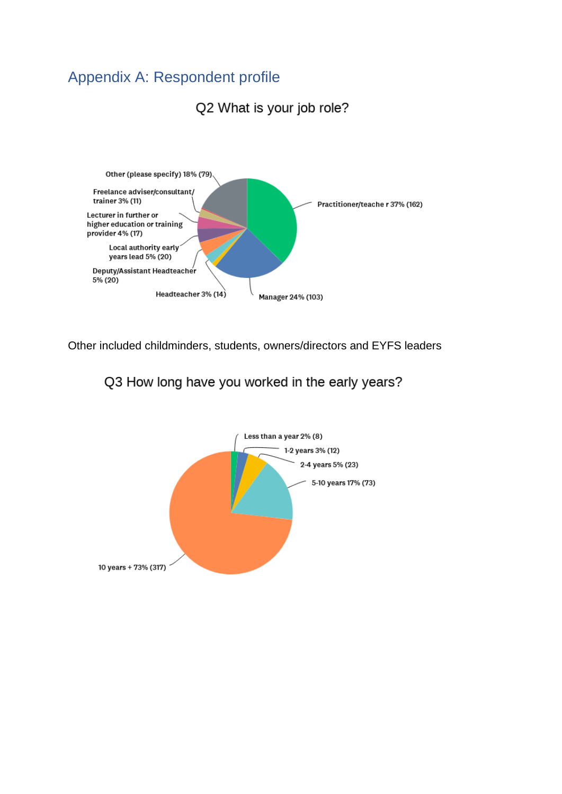# <span id="page-13-0"></span>Appendix A: Respondent profile



Other included childminders, students, owners/directors and EYFS leaders

Q3 How long have you worked in the early years?